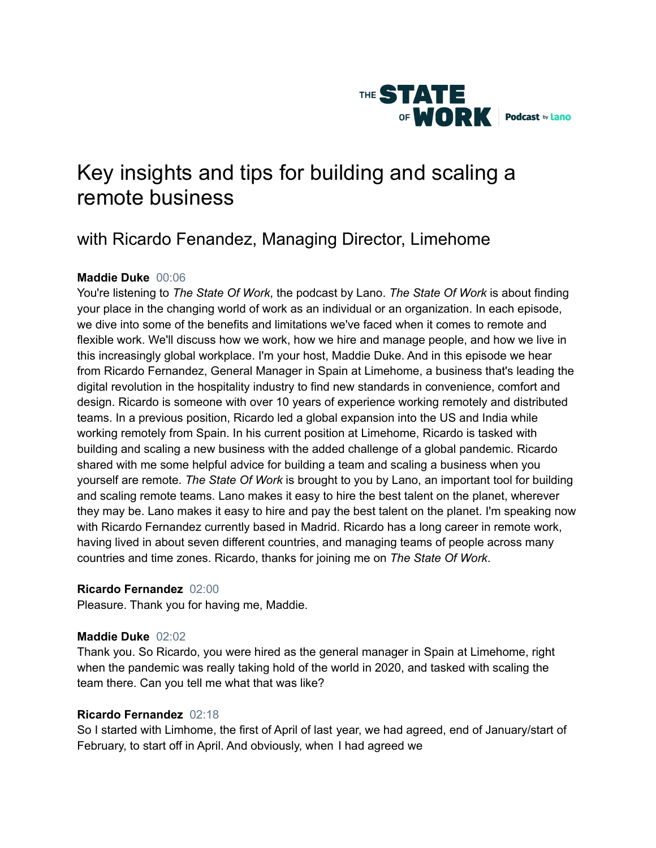

# Key insights and tips for building and scaling a remote business

# with Ricardo Fenandez, Managing Director, Limehome

# **Maddie Duke** 00:06

You're listening to *The State Of Work*, the podcast by Lano. *The State Of Work* is about finding your place in the changing world of work as an individual or an organization. In each episode, we dive into some of the benefits and limitations we've faced when it comes to remote and flexible work. We'll discuss how we work, how we hire and manage people, and how we live in this increasingly global workplace. I'm your host, Maddie Duke. And in this episode we hear from Ricardo Fernandez, General Manager in Spain at Limehome, a business that's leading the digital revolution in the hospitality industry to find new standards in convenience, comfort and design. Ricardo is someone with over 10 years of experience working remotely and distributed teams. In a previous position, Ricardo led a global expansion into the US and India while working remotely from Spain. In his current position at Limehome, Ricardo is tasked with building and scaling a new business with the added challenge of a global pandemic. Ricardo shared with me some helpful advice for building a team and scaling a business when you yourself are remote. *The State Of Work* is brought to you by Lano, an important tool for building and scaling remote teams. Lano makes it easy to hire the best talent on the planet, wherever they may be. Lano makes it easy to hire and pay the best talent on the planet. I'm speaking now with Ricardo Fernandez currently based in Madrid. Ricardo has a long career in remote work, having lived in about seven different countries, and managing teams of people across many countries and time zones. Ricardo, thanks for joining me on *The State Of Work*.

# **Ricardo Fernandez** 02:00

Pleasure. Thank you for having me, Maddie.

# **Maddie Duke** 02:02

Thank you. So Ricardo, you were hired as the general manager in Spain at Limehome, right when the pandemic was really taking hold of the world in 2020, and tasked with scaling the team there. Can you tell me what that was like?

# **Ricardo Fernandez** 02:18

So I started with Limhome, the first of April of last year, we had agreed, end of January/start of February, to start off in April. And obviously, when I had agreed we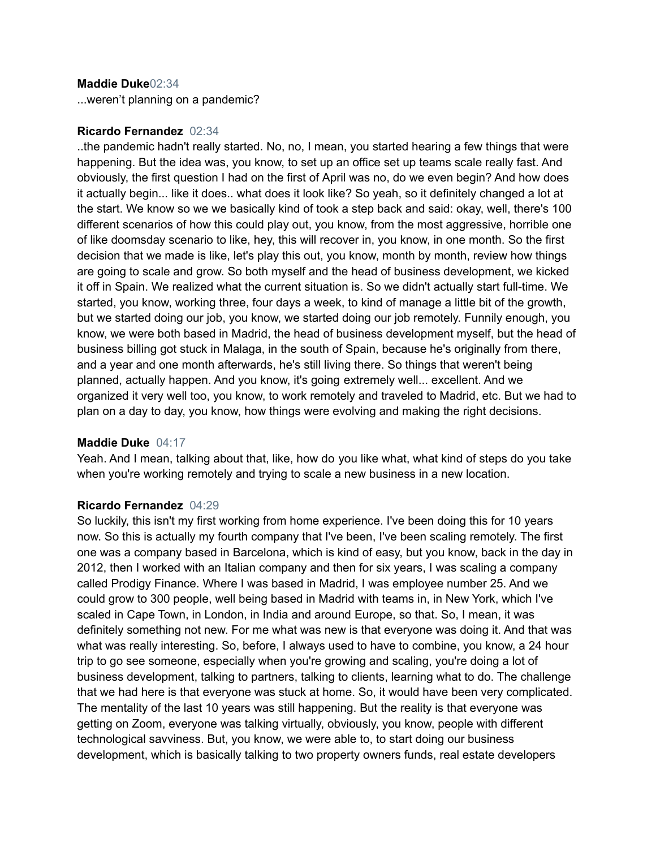#### **Maddie Duke**02:34

...weren't planning on a pandemic?

#### **Ricardo Fernandez** 02:34

..the pandemic hadn't really started. No, no, I mean, you started hearing a few things that were happening. But the idea was, you know, to set up an office set up teams scale really fast. And obviously, the first question I had on the first of April was no, do we even begin? And how does it actually begin... like it does.. what does it look like? So yeah, so it definitely changed a lot at the start. We know so we we basically kind of took a step back and said: okay, well, there's 100 different scenarios of how this could play out, you know, from the most aggressive, horrible one of like doomsday scenario to like, hey, this will recover in, you know, in one month. So the first decision that we made is like, let's play this out, you know, month by month, review how things are going to scale and grow. So both myself and the head of business development, we kicked it off in Spain. We realized what the current situation is. So we didn't actually start full-time. We started, you know, working three, four days a week, to kind of manage a little bit of the growth, but we started doing our job, you know, we started doing our job remotely. Funnily enough, you know, we were both based in Madrid, the head of business development myself, but the head of business billing got stuck in Malaga, in the south of Spain, because he's originally from there, and a year and one month afterwards, he's still living there. So things that weren't being planned, actually happen. And you know, it's going extremely well... excellent. And we organized it very well too, you know, to work remotely and traveled to Madrid, etc. But we had to plan on a day to day, you know, how things were evolving and making the right decisions.

#### **Maddie Duke** 04:17

Yeah. And I mean, talking about that, like, how do you like what, what kind of steps do you take when you're working remotely and trying to scale a new business in a new location.

#### **Ricardo Fernandez** 04:29

So luckily, this isn't my first working from home experience. I've been doing this for 10 years now. So this is actually my fourth company that I've been, I've been scaling remotely. The first one was a company based in Barcelona, which is kind of easy, but you know, back in the day in 2012, then I worked with an Italian company and then for six years, I was scaling a company called Prodigy Finance. Where I was based in Madrid, I was employee number 25. And we could grow to 300 people, well being based in Madrid with teams in, in New York, which I've scaled in Cape Town, in London, in India and around Europe, so that. So, I mean, it was definitely something not new. For me what was new is that everyone was doing it. And that was what was really interesting. So, before, I always used to have to combine, you know, a 24 hour trip to go see someone, especially when you're growing and scaling, you're doing a lot of business development, talking to partners, talking to clients, learning what to do. The challenge that we had here is that everyone was stuck at home. So, it would have been very complicated. The mentality of the last 10 years was still happening. But the reality is that everyone was getting on Zoom, everyone was talking virtually, obviously, you know, people with different technological savviness. But, you know, we were able to, to start doing our business development, which is basically talking to two property owners funds, real estate developers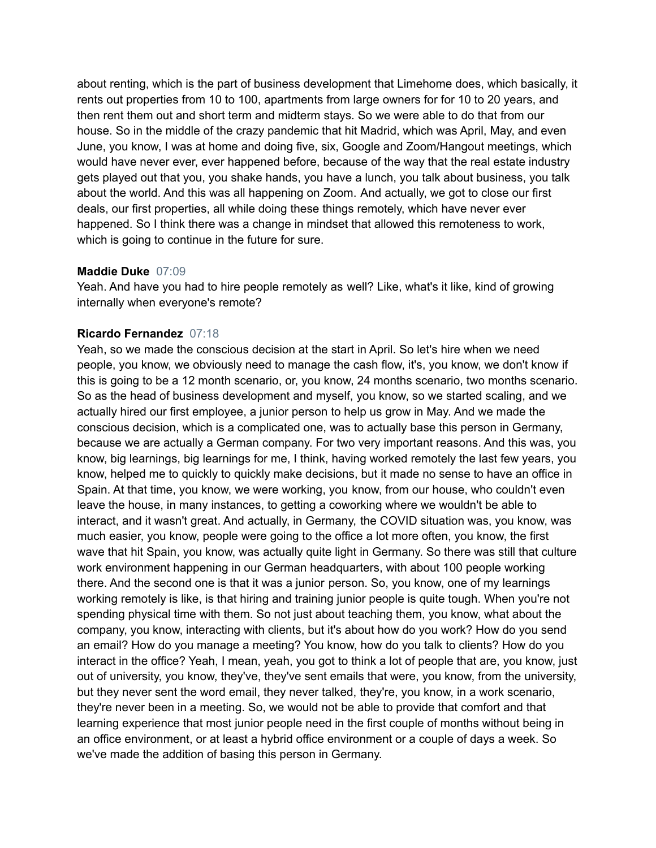about renting, which is the part of business development that Limehome does, which basically, it rents out properties from 10 to 100, apartments from large owners for for 10 to 20 years, and then rent them out and short term and midterm stays. So we were able to do that from our house. So in the middle of the crazy pandemic that hit Madrid, which was April, May, and even June, you know, I was at home and doing five, six, Google and Zoom/Hangout meetings, which would have never ever, ever happened before, because of the way that the real estate industry gets played out that you, you shake hands, you have a lunch, you talk about business, you talk about the world. And this was all happening on Zoom. And actually, we got to close our first deals, our first properties, all while doing these things remotely, which have never ever happened. So I think there was a change in mindset that allowed this remoteness to work, which is going to continue in the future for sure.

#### **Maddie Duke** 07:09

Yeah. And have you had to hire people remotely as well? Like, what's it like, kind of growing internally when everyone's remote?

#### **Ricardo Fernandez** 07:18

Yeah, so we made the conscious decision at the start in April. So let's hire when we need people, you know, we obviously need to manage the cash flow, it's, you know, we don't know if this is going to be a 12 month scenario, or, you know, 24 months scenario, two months scenario. So as the head of business development and myself, you know, so we started scaling, and we actually hired our first employee, a junior person to help us grow in May. And we made the conscious decision, which is a complicated one, was to actually base this person in Germany, because we are actually a German company. For two very important reasons. And this was, you know, big learnings, big learnings for me, I think, having worked remotely the last few years, you know, helped me to quickly to quickly make decisions, but it made no sense to have an office in Spain. At that time, you know, we were working, you know, from our house, who couldn't even leave the house, in many instances, to getting a coworking where we wouldn't be able to interact, and it wasn't great. And actually, in Germany, the COVID situation was, you know, was much easier, you know, people were going to the office a lot more often, you know, the first wave that hit Spain, you know, was actually quite light in Germany. So there was still that culture work environment happening in our German headquarters, with about 100 people working there. And the second one is that it was a junior person. So, you know, one of my learnings working remotely is like, is that hiring and training junior people is quite tough. When you're not spending physical time with them. So not just about teaching them, you know, what about the company, you know, interacting with clients, but it's about how do you work? How do you send an email? How do you manage a meeting? You know, how do you talk to clients? How do you interact in the office? Yeah, I mean, yeah, you got to think a lot of people that are, you know, just out of university, you know, they've, they've sent emails that were, you know, from the university, but they never sent the word email, they never talked, they're, you know, in a work scenario, they're never been in a meeting. So, we would not be able to provide that comfort and that learning experience that most junior people need in the first couple of months without being in an office environment, or at least a hybrid office environment or a couple of days a week. So we've made the addition of basing this person in Germany.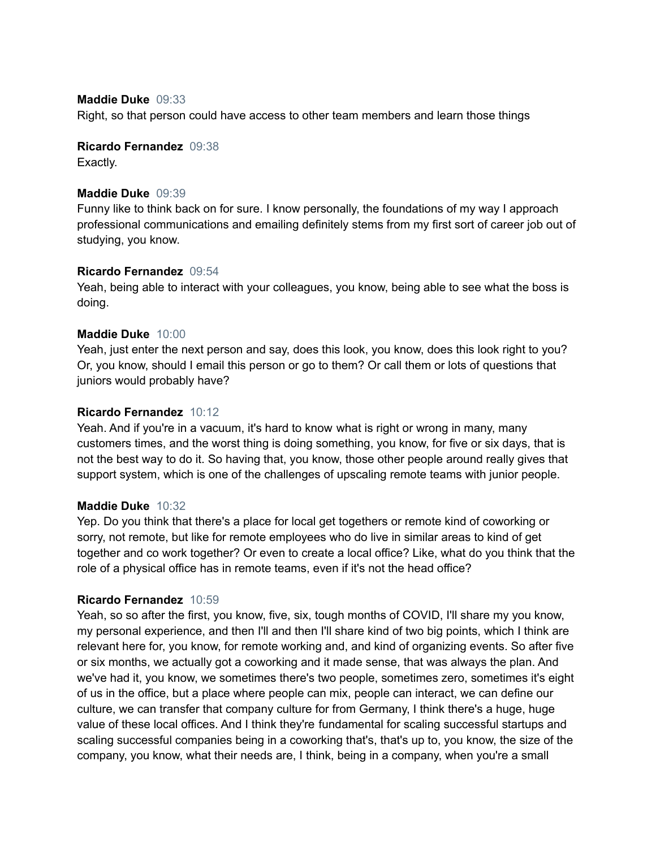#### **Maddie Duke** 09:33

Right, so that person could have access to other team members and learn those things

## **Ricardo Fernandez** 09:38

Exactly.

#### **Maddie Duke** 09:39

Funny like to think back on for sure. I know personally, the foundations of my way I approach professional communications and emailing definitely stems from my first sort of career job out of studying, you know.

#### **Ricardo Fernandez** 09:54

Yeah, being able to interact with your colleagues, you know, being able to see what the boss is doing.

#### **Maddie Duke** 10:00

Yeah, just enter the next person and say, does this look, you know, does this look right to you? Or, you know, should I email this person or go to them? Or call them or lots of questions that juniors would probably have?

#### **Ricardo Fernandez** 10:12

Yeah. And if you're in a vacuum, it's hard to know what is right or wrong in many, many customers times, and the worst thing is doing something, you know, for five or six days, that is not the best way to do it. So having that, you know, those other people around really gives that support system, which is one of the challenges of upscaling remote teams with junior people.

#### **Maddie Duke** 10:32

Yep. Do you think that there's a place for local get togethers or remote kind of coworking or sorry, not remote, but like for remote employees who do live in similar areas to kind of get together and co work together? Or even to create a local office? Like, what do you think that the role of a physical office has in remote teams, even if it's not the head office?

#### **Ricardo Fernandez** 10:59

Yeah, so so after the first, you know, five, six, tough months of COVID, I'll share my you know, my personal experience, and then I'll and then I'll share kind of two big points, which I think are relevant here for, you know, for remote working and, and kind of organizing events. So after five or six months, we actually got a coworking and it made sense, that was always the plan. And we've had it, you know, we sometimes there's two people, sometimes zero, sometimes it's eight of us in the office, but a place where people can mix, people can interact, we can define our culture, we can transfer that company culture for from Germany, I think there's a huge, huge value of these local offices. And I think they're fundamental for scaling successful startups and scaling successful companies being in a coworking that's, that's up to, you know, the size of the company, you know, what their needs are, I think, being in a company, when you're a small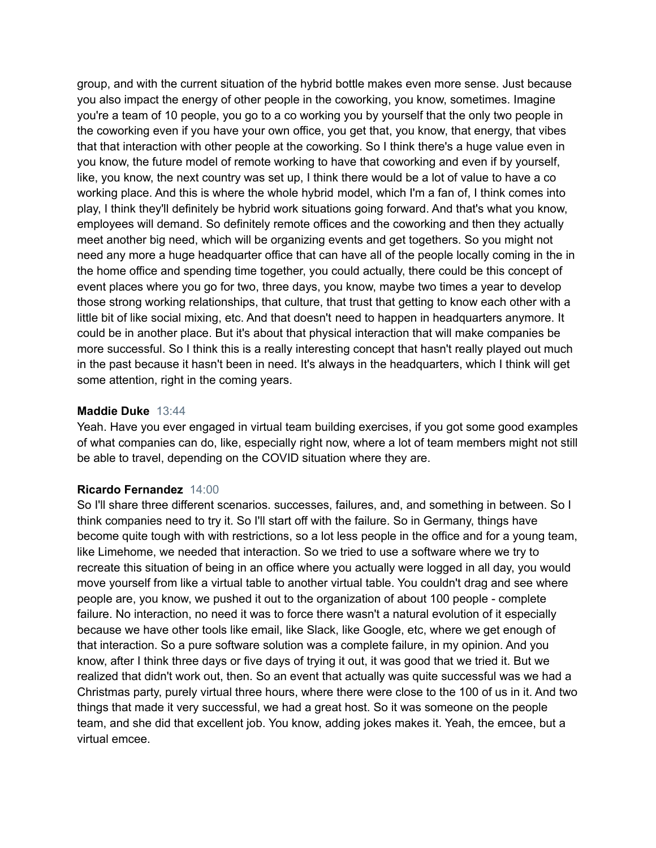group, and with the current situation of the hybrid bottle makes even more sense. Just because you also impact the energy of other people in the coworking, you know, sometimes. Imagine you're a team of 10 people, you go to a co working you by yourself that the only two people in the coworking even if you have your own office, you get that, you know, that energy, that vibes that that interaction with other people at the coworking. So I think there's a huge value even in you know, the future model of remote working to have that coworking and even if by yourself, like, you know, the next country was set up, I think there would be a lot of value to have a co working place. And this is where the whole hybrid model, which I'm a fan of, I think comes into play, I think they'll definitely be hybrid work situations going forward. And that's what you know, employees will demand. So definitely remote offices and the coworking and then they actually meet another big need, which will be organizing events and get togethers. So you might not need any more a huge headquarter office that can have all of the people locally coming in the in the home office and spending time together, you could actually, there could be this concept of event places where you go for two, three days, you know, maybe two times a year to develop those strong working relationships, that culture, that trust that getting to know each other with a little bit of like social mixing, etc. And that doesn't need to happen in headquarters anymore. It could be in another place. But it's about that physical interaction that will make companies be more successful. So I think this is a really interesting concept that hasn't really played out much in the past because it hasn't been in need. It's always in the headquarters, which I think will get some attention, right in the coming years.

#### **Maddie Duke** 13:44

Yeah. Have you ever engaged in virtual team building exercises, if you got some good examples of what companies can do, like, especially right now, where a lot of team members might not still be able to travel, depending on the COVID situation where they are.

#### **Ricardo Fernandez** 14:00

So I'll share three different scenarios. successes, failures, and, and something in between. So I think companies need to try it. So I'll start off with the failure. So in Germany, things have become quite tough with with restrictions, so a lot less people in the office and for a young team, like Limehome, we needed that interaction. So we tried to use a software where we try to recreate this situation of being in an office where you actually were logged in all day, you would move yourself from like a virtual table to another virtual table. You couldn't drag and see where people are, you know, we pushed it out to the organization of about 100 people - complete failure. No interaction, no need it was to force there wasn't a natural evolution of it especially because we have other tools like email, like Slack, like Google, etc, where we get enough of that interaction. So a pure software solution was a complete failure, in my opinion. And you know, after I think three days or five days of trying it out, it was good that we tried it. But we realized that didn't work out, then. So an event that actually was quite successful was we had a Christmas party, purely virtual three hours, where there were close to the 100 of us in it. And two things that made it very successful, we had a great host. So it was someone on the people team, and she did that excellent job. You know, adding jokes makes it. Yeah, the emcee, but a virtual emcee.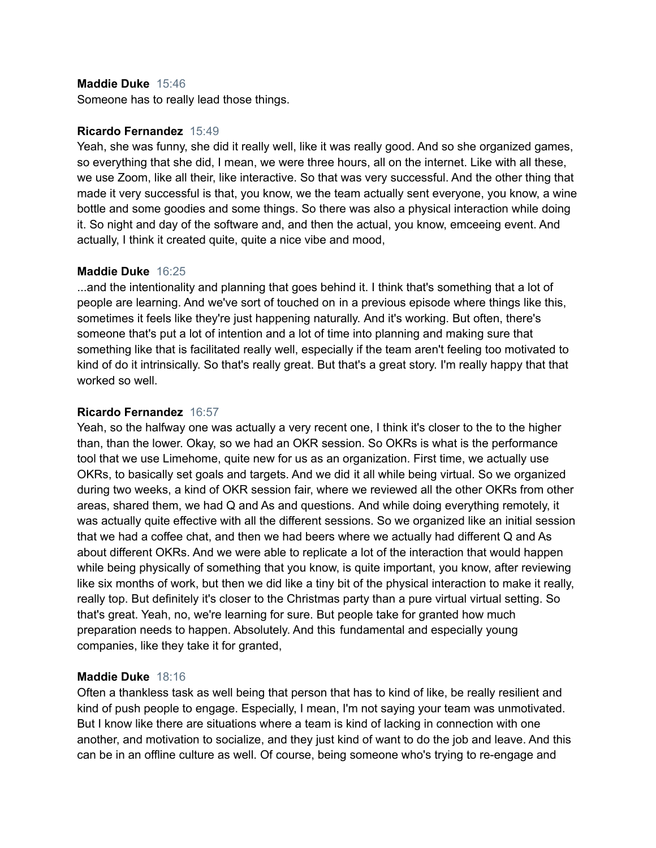#### **Maddie Duke** 15:46

Someone has to really lead those things.

#### **Ricardo Fernandez** 15:49

Yeah, she was funny, she did it really well, like it was really good. And so she organized games, so everything that she did, I mean, we were three hours, all on the internet. Like with all these, we use Zoom, like all their, like interactive. So that was very successful. And the other thing that made it very successful is that, you know, we the team actually sent everyone, you know, a wine bottle and some goodies and some things. So there was also a physical interaction while doing it. So night and day of the software and, and then the actual, you know, emceeing event. And actually, I think it created quite, quite a nice vibe and mood,

#### **Maddie Duke** 16:25

...and the intentionality and planning that goes behind it. I think that's something that a lot of people are learning. And we've sort of touched on in a previous episode where things like this, sometimes it feels like they're just happening naturally. And it's working. But often, there's someone that's put a lot of intention and a lot of time into planning and making sure that something like that is facilitated really well, especially if the team aren't feeling too motivated to kind of do it intrinsically. So that's really great. But that's a great story. I'm really happy that that worked so well.

#### **Ricardo Fernandez** 16:57

Yeah, so the halfway one was actually a very recent one, I think it's closer to the to the higher than, than the lower. Okay, so we had an OKR session. So OKRs is what is the performance tool that we use Limehome, quite new for us as an organization. First time, we actually use OKRs, to basically set goals and targets. And we did it all while being virtual. So we organized during two weeks, a kind of OKR session fair, where we reviewed all the other OKRs from other areas, shared them, we had Q and As and questions. And while doing everything remotely, it was actually quite effective with all the different sessions. So we organized like an initial session that we had a coffee chat, and then we had beers where we actually had different Q and As about different OKRs. And we were able to replicate a lot of the interaction that would happen while being physically of something that you know, is quite important, you know, after reviewing like six months of work, but then we did like a tiny bit of the physical interaction to make it really, really top. But definitely it's closer to the Christmas party than a pure virtual virtual setting. So that's great. Yeah, no, we're learning for sure. But people take for granted how much preparation needs to happen. Absolutely. And this fundamental and especially young companies, like they take it for granted,

#### **Maddie Duke** 18:16

Often a thankless task as well being that person that has to kind of like, be really resilient and kind of push people to engage. Especially, I mean, I'm not saying your team was unmotivated. But I know like there are situations where a team is kind of lacking in connection with one another, and motivation to socialize, and they just kind of want to do the job and leave. And this can be in an offline culture as well. Of course, being someone who's trying to re-engage and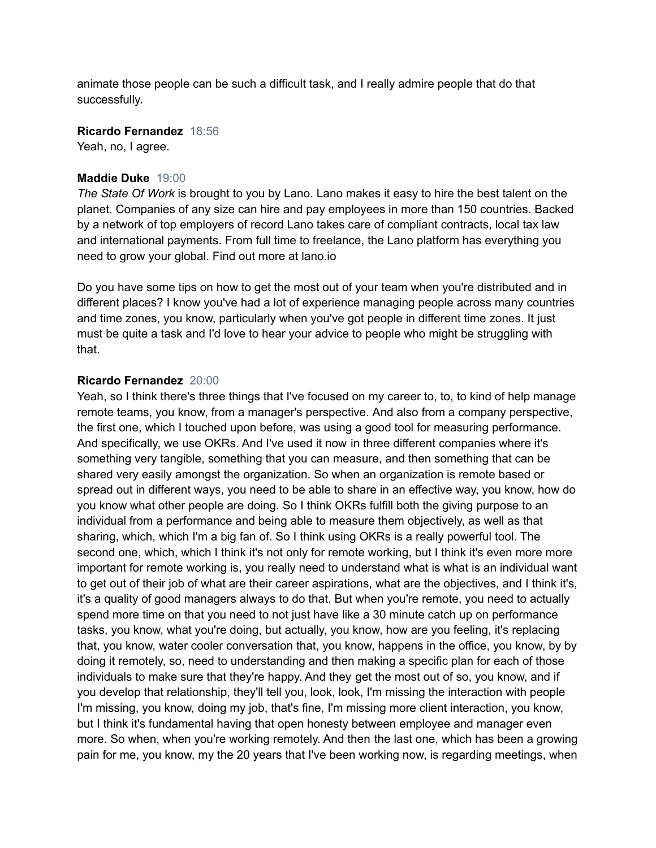animate those people can be such a difficult task, and I really admire people that do that successfully.

**Ricardo Fernandez** 18:56

Yeah, no, I agree.

#### **Maddie Duke** 19:00

*The State Of Work* is brought to you by Lano. Lano makes it easy to hire the best talent on the planet. Companies of any size can hire and pay employees in more than 150 countries. Backed by a network of top employers of record Lano takes care of compliant contracts, local tax law and international payments. From full time to freelance, the Lano platform has everything you need to grow your global. Find out more at lano.io

Do you have some tips on how to get the most out of your team when you're distributed and in different places? I know you've had a lot of experience managing people across many countries and time zones, you know, particularly when you've got people in different time zones. It just must be quite a task and I'd love to hear your advice to people who might be struggling with that.

#### **Ricardo Fernandez** 20:00

Yeah, so I think there's three things that I've focused on my career to, to, to kind of help manage remote teams, you know, from a manager's perspective. And also from a company perspective, the first one, which I touched upon before, was using a good tool for measuring performance. And specifically, we use OKRs. And I've used it now in three different companies where it's something very tangible, something that you can measure, and then something that can be shared very easily amongst the organization. So when an organization is remote based or spread out in different ways, you need to be able to share in an effective way, you know, how do you know what other people are doing. So I think OKRs fulfill both the giving purpose to an individual from a performance and being able to measure them objectively, as well as that sharing, which, which I'm a big fan of. So I think using OKRs is a really powerful tool. The second one, which, which I think it's not only for remote working, but I think it's even more more important for remote working is, you really need to understand what is what is an individual want to get out of their job of what are their career aspirations, what are the objectives, and I think it's, it's a quality of good managers always to do that. But when you're remote, you need to actually spend more time on that you need to not just have like a 30 minute catch up on performance tasks, you know, what you're doing, but actually, you know, how are you feeling, it's replacing that, you know, water cooler conversation that, you know, happens in the office, you know, by by doing it remotely, so, need to understanding and then making a specific plan for each of those individuals to make sure that they're happy. And they get the most out of so, you know, and if you develop that relationship, they'll tell you, look, look, I'm missing the interaction with people I'm missing, you know, doing my job, that's fine, I'm missing more client interaction, you know, but I think it's fundamental having that open honesty between employee and manager even more. So when, when you're working remotely. And then the last one, which has been a growing pain for me, you know, my the 20 years that I've been working now, is regarding meetings, when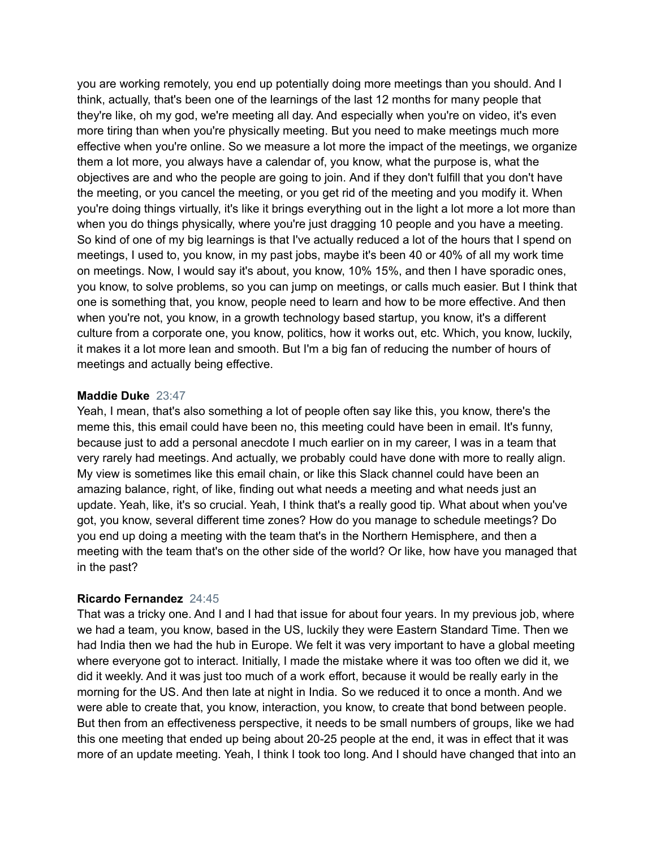you are working remotely, you end up potentially doing more meetings than you should. And I think, actually, that's been one of the learnings of the last 12 months for many people that they're like, oh my god, we're meeting all day. And especially when you're on video, it's even more tiring than when you're physically meeting. But you need to make meetings much more effective when you're online. So we measure a lot more the impact of the meetings, we organize them a lot more, you always have a calendar of, you know, what the purpose is, what the objectives are and who the people are going to join. And if they don't fulfill that you don't have the meeting, or you cancel the meeting, or you get rid of the meeting and you modify it. When you're doing things virtually, it's like it brings everything out in the light a lot more a lot more than when you do things physically, where you're just dragging 10 people and you have a meeting. So kind of one of my big learnings is that I've actually reduced a lot of the hours that I spend on meetings, I used to, you know, in my past jobs, maybe it's been 40 or 40% of all my work time on meetings. Now, I would say it's about, you know, 10% 15%, and then I have sporadic ones, you know, to solve problems, so you can jump on meetings, or calls much easier. But I think that one is something that, you know, people need to learn and how to be more effective. And then when you're not, you know, in a growth technology based startup, you know, it's a different culture from a corporate one, you know, politics, how it works out, etc. Which, you know, luckily, it makes it a lot more lean and smooth. But I'm a big fan of reducing the number of hours of meetings and actually being effective.

#### **Maddie Duke** 23:47

Yeah, I mean, that's also something a lot of people often say like this, you know, there's the meme this, this email could have been no, this meeting could have been in email. It's funny, because just to add a personal anecdote I much earlier on in my career, I was in a team that very rarely had meetings. And actually, we probably could have done with more to really align. My view is sometimes like this email chain, or like this Slack channel could have been an amazing balance, right, of like, finding out what needs a meeting and what needs just an update. Yeah, like, it's so crucial. Yeah, I think that's a really good tip. What about when you've got, you know, several different time zones? How do you manage to schedule meetings? Do you end up doing a meeting with the team that's in the Northern Hemisphere, and then a meeting with the team that's on the other side of the world? Or like, how have you managed that in the past?

#### **Ricardo Fernandez** 24:45

That was a tricky one. And I and I had that issue for about four years. In my previous job, where we had a team, you know, based in the US, luckily they were Eastern Standard Time. Then we had India then we had the hub in Europe. We felt it was very important to have a global meeting where everyone got to interact. Initially, I made the mistake where it was too often we did it, we did it weekly. And it was just too much of a work effort, because it would be really early in the morning for the US. And then late at night in India. So we reduced it to once a month. And we were able to create that, you know, interaction, you know, to create that bond between people. But then from an effectiveness perspective, it needs to be small numbers of groups, like we had this one meeting that ended up being about 20-25 people at the end, it was in effect that it was more of an update meeting. Yeah, I think I took too long. And I should have changed that into an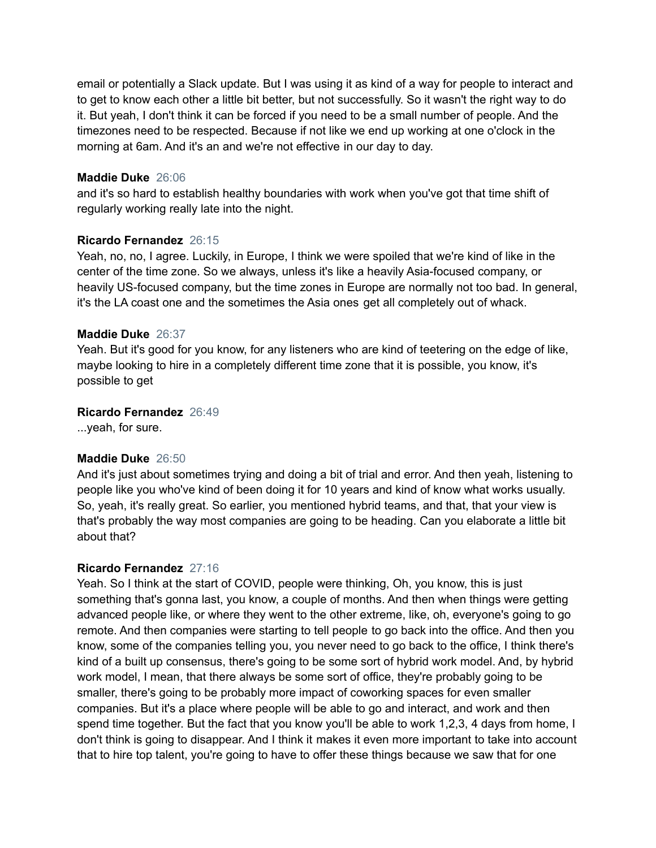email or potentially a Slack update. But I was using it as kind of a way for people to interact and to get to know each other a little bit better, but not successfully. So it wasn't the right way to do it. But yeah, I don't think it can be forced if you need to be a small number of people. And the timezones need to be respected. Because if not like we end up working at one o'clock in the morning at 6am. And it's an and we're not effective in our day to day.

#### **Maddie Duke** 26:06

and it's so hard to establish healthy boundaries with work when you've got that time shift of regularly working really late into the night.

#### **Ricardo Fernandez** 26:15

Yeah, no, no, I agree. Luckily, in Europe, I think we were spoiled that we're kind of like in the center of the time zone. So we always, unless it's like a heavily Asia-focused company, or heavily US-focused company, but the time zones in Europe are normally not too bad. In general, it's the LA coast one and the sometimes the Asia ones get all completely out of whack.

#### **Maddie Duke** 26:37

Yeah. But it's good for you know, for any listeners who are kind of teetering on the edge of like, maybe looking to hire in a completely different time zone that it is possible, you know, it's possible to get

#### **Ricardo Fernandez** 26:49

...yeah, for sure.

#### **Maddie Duke** 26:50

And it's just about sometimes trying and doing a bit of trial and error. And then yeah, listening to people like you who've kind of been doing it for 10 years and kind of know what works usually. So, yeah, it's really great. So earlier, you mentioned hybrid teams, and that, that your view is that's probably the way most companies are going to be heading. Can you elaborate a little bit about that?

#### **Ricardo Fernandez** 27:16

Yeah. So I think at the start of COVID, people were thinking, Oh, you know, this is just something that's gonna last, you know, a couple of months. And then when things were getting advanced people like, or where they went to the other extreme, like, oh, everyone's going to go remote. And then companies were starting to tell people to go back into the office. And then you know, some of the companies telling you, you never need to go back to the office, I think there's kind of a built up consensus, there's going to be some sort of hybrid work model. And, by hybrid work model, I mean, that there always be some sort of office, they're probably going to be smaller, there's going to be probably more impact of coworking spaces for even smaller companies. But it's a place where people will be able to go and interact, and work and then spend time together. But the fact that you know you'll be able to work 1,2,3, 4 days from home, I don't think is going to disappear. And I think it makes it even more important to take into account that to hire top talent, you're going to have to offer these things because we saw that for one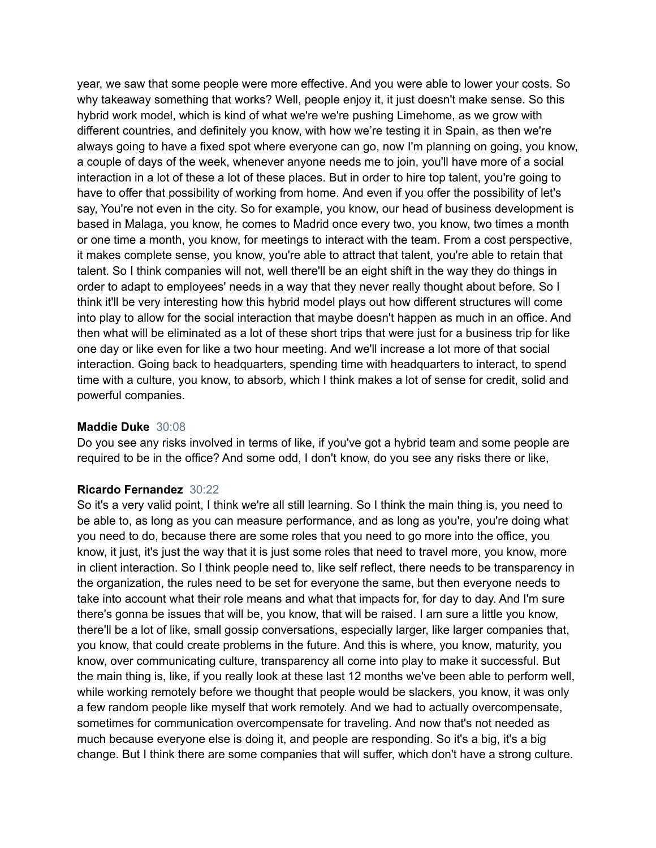year, we saw that some people were more effective. And you were able to lower your costs. So why takeaway something that works? Well, people enjoy it, it just doesn't make sense. So this hybrid work model, which is kind of what we're we're pushing Limehome, as we grow with different countries, and definitely you know, with how we're testing it in Spain, as then we're always going to have a fixed spot where everyone can go, now I'm planning on going, you know, a couple of days of the week, whenever anyone needs me to join, you'll have more of a social interaction in a lot of these a lot of these places. But in order to hire top talent, you're going to have to offer that possibility of working from home. And even if you offer the possibility of let's say, You're not even in the city. So for example, you know, our head of business development is based in Malaga, you know, he comes to Madrid once every two, you know, two times a month or one time a month, you know, for meetings to interact with the team. From a cost perspective, it makes complete sense, you know, you're able to attract that talent, you're able to retain that talent. So I think companies will not, well there'll be an eight shift in the way they do things in order to adapt to employees' needs in a way that they never really thought about before. So I think it'll be very interesting how this hybrid model plays out how different structures will come into play to allow for the social interaction that maybe doesn't happen as much in an office. And then what will be eliminated as a lot of these short trips that were just for a business trip for like one day or like even for like a two hour meeting. And we'll increase a lot more of that social interaction. Going back to headquarters, spending time with headquarters to interact, to spend time with a culture, you know, to absorb, which I think makes a lot of sense for credit, solid and powerful companies.

#### **Maddie Duke** 30:08

Do you see any risks involved in terms of like, if you've got a hybrid team and some people are required to be in the office? And some odd, I don't know, do you see any risks there or like,

#### **Ricardo Fernandez** 30:22

So it's a very valid point, I think we're all still learning. So I think the main thing is, you need to be able to, as long as you can measure performance, and as long as you're, you're doing what you need to do, because there are some roles that you need to go more into the office, you know, it just, it's just the way that it is just some roles that need to travel more, you know, more in client interaction. So I think people need to, like self reflect, there needs to be transparency in the organization, the rules need to be set for everyone the same, but then everyone needs to take into account what their role means and what that impacts for, for day to day. And I'm sure there's gonna be issues that will be, you know, that will be raised. I am sure a little you know, there'll be a lot of like, small gossip conversations, especially larger, like larger companies that, you know, that could create problems in the future. And this is where, you know, maturity, you know, over communicating culture, transparency all come into play to make it successful. But the main thing is, like, if you really look at these last 12 months we've been able to perform well, while working remotely before we thought that people would be slackers, you know, it was only a few random people like myself that work remotely. And we had to actually overcompensate, sometimes for communication overcompensate for traveling. And now that's not needed as much because everyone else is doing it, and people are responding. So it's a big, it's a big change. But I think there are some companies that will suffer, which don't have a strong culture.